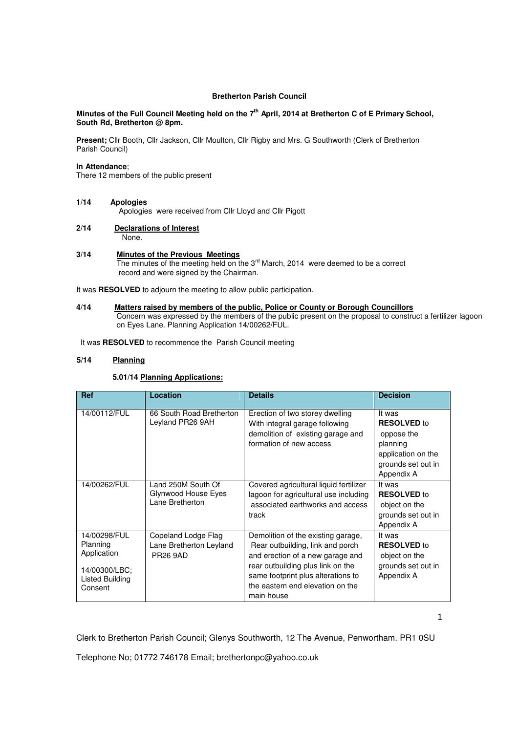### **Bretherton Parish Council**

## **Minutes of the Full Council Meeting held on the 7th April, 2014 at Bretherton C of E Primary School, South Rd, Bretherton @ 8pm.**

**Present;** Cllr Booth, Cllr Jackson, Cllr Moulton, Cllr Rigby and Mrs. G Southworth (Clerk of Bretherton Parish Council)

### **In Attendance**;

There 12 members of the public present

### **1/14 Apologies**

Apologies were received from Cllr Lloyd and Cllr Pigott

# **2/14 Declarations of Interest**

None.

# **3/14 Minutes of the Previous Meetings**

The minutes of the meeting held on the 3<sup>rd</sup> March, 2014 were deemed to be a correct record and were signed by the Chairman.

It was **RESOLVED** to adjourn the meeting to allow public participation.

## **4/14 Matters raised by members of the public, Police or County or Borough Councillors**

 Concern was expressed by the members of the public present on the proposal to construct a fertilizer lagoon on Eyes Lane. Planning Application 14/00262/FUL.

It was **RESOLVED** to recommence the Parish Council meeting

## **5/14 Planning**

## **5.01/14 Planning Applications:**

| <b>Ref</b>                                                                             | Location                                                          | <b>Details</b>                                                                                                                                                                                                                          | <b>Decision</b>                                                                                                  |
|----------------------------------------------------------------------------------------|-------------------------------------------------------------------|-----------------------------------------------------------------------------------------------------------------------------------------------------------------------------------------------------------------------------------------|------------------------------------------------------------------------------------------------------------------|
| 14/00112/FUL                                                                           | 66 South Road Bretherton<br>Leyland PR26 9AH                      | Erection of two storey dwelling<br>With integral garage following<br>demolition of existing garage and<br>formation of new access                                                                                                       | It was<br><b>RESOLVED to</b><br>oppose the<br>planning<br>application on the<br>grounds set out in<br>Appendix A |
| 14/00262/FUL                                                                           | Land 250M South Of<br>Glynwood House Eyes<br>Lane Bretherton      | Covered agricultural liquid fertilizer<br>lagoon for agricultural use including<br>associated earthworks and access<br>track                                                                                                            | It was<br><b>RESOLVED to</b><br>object on the<br>grounds set out in<br>Appendix A                                |
| 14/00298/FUL<br>Planning<br>Application<br>14/00300/LBC:<br>Listed Building<br>Consent | Copeland Lodge Flag<br>Lane Bretherton Leyland<br><b>PR26 9AD</b> | Demolition of the existing garage,<br>Rear outbuilding, link and porch<br>and erection of a new garage and<br>rear outbuilding plus link on the<br>same footprint plus alterations to<br>the eastern end elevation on the<br>main house | It was<br><b>RESOLVED to</b><br>object on the<br>grounds set out in<br>Appendix A                                |

Clerk to Bretherton Parish Council; Glenys Southworth, 12 The Avenue, Penwortham. PR1 0SU Telephone No; 01772 746178 Email; brethertonpc@yahoo.co.uk

1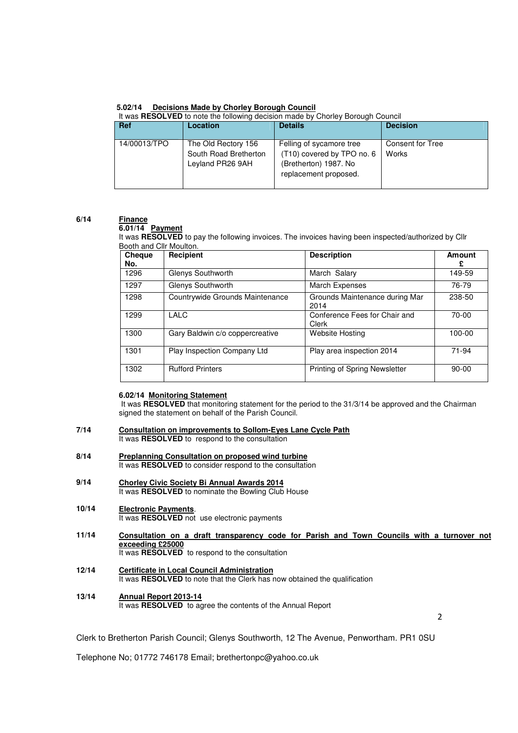### **5.02/14 Decisions Made by Chorley Borough Council**

| It was RESOLVED to note the following decision made by Chorley Borough Council |                                                                  |                                                                                                          |                                  |  |
|--------------------------------------------------------------------------------|------------------------------------------------------------------|----------------------------------------------------------------------------------------------------------|----------------------------------|--|
| <b>Ref</b>                                                                     | <b>Location</b>                                                  | <b>Details</b>                                                                                           | <b>Decision</b>                  |  |
| 14/00013/TPO                                                                   | The Old Rectory 156<br>South Road Bretherton<br>Leyland PR26 9AH | Felling of sycamore tree<br>(T10) covered by TPO no. 6<br>(Bretherton) 1987. No<br>replacement proposed. | Consent for Tree<br><b>Works</b> |  |

#### **6/14 Finance**

## **6.01/14 Payment**

It was **RESOLVED** to pay the following invoices. The invoices having been inspected/authorized by Cllr Booth and Cllr Moulton.

| <b>Cheque</b><br>No. | Recipient                       | <b>Description</b>                     | Amount    |
|----------------------|---------------------------------|----------------------------------------|-----------|
| 1296                 | Glenys Southworth               | March Salary                           | 149-59    |
| 1297                 | Glenys Southworth               | March Expenses                         | 76-79     |
| 1298                 | Countrywide Grounds Maintenance | Grounds Maintenance during Mar<br>2014 | 238-50    |
| 1299                 | LALC                            | Conference Fees for Chair and<br>Clerk | $70-00$   |
| 1300                 | Gary Baldwin c/o coppercreative | Website Hosting                        | 100-00    |
| 1301                 | Play Inspection Company Ltd     | Play area inspection 2014              | 71-94     |
| 1302                 | <b>Rufford Printers</b>         | Printing of Spring Newsletter          | $90 - 00$ |

### **6.02/14 Monitoring Statement**

 It was **RESOLVED** that monitoring statement for the period to the 31/3/14 be approved and the Chairman signed the statement on behalf of the Parish Council.

- **7/14 Consultation on improvements to Sollom-Eyes Lane Cycle Path** It was **RESOLVED** to respond to the consultation
- **8/14 Preplanning Consultation on proposed wind turbine** It was **RESOLVED** to consider respond to the consultation
- **9/14 Chorley Civic Society Bi Annual Awards 2014** It was **RESOLVED** to nominate the Bowling Club House
- **10/14 Electronic Payments**. It was **RESOLVED** not use electronic payments
- **11/14 Consultation on a draft transparency code for Parish and Town Councils with a turnover not exceeding £25000** It was **RESOLVED** to respond to the consultation
	-
- **12/14 Certificate in Local Council Administration** It was **RESOLVED** to note that the Clerk has now obtained the qualification
- **13/14 Annual Report 2013-14** It was **RESOLVED** to agree the contents of the Annual Report

2

Clerk to Bretherton Parish Council; Glenys Southworth, 12 The Avenue, Penwortham. PR1 0SU

Telephone No; 01772 746178 Email; brethertonpc@yahoo.co.uk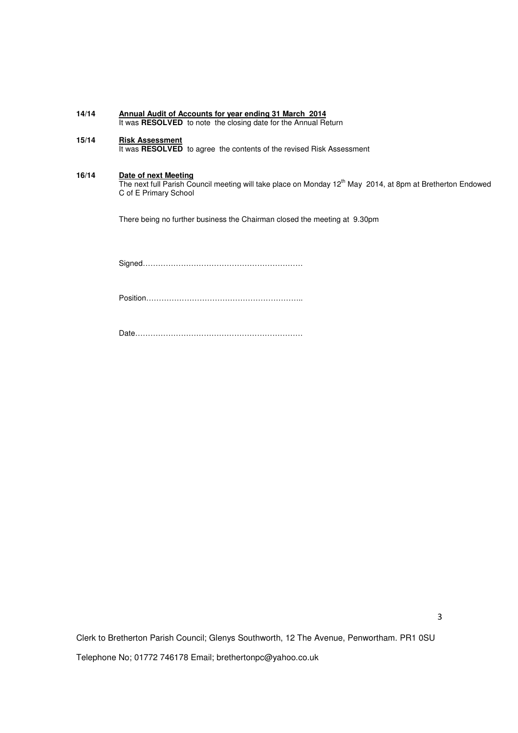| 14/14 | Annual Audit of Accounts for year ending 31 March 2014<br>It was <b>RESOLVED</b> to note the closing date for the Annual Return                                         |
|-------|-------------------------------------------------------------------------------------------------------------------------------------------------------------------------|
| 15/14 | <b>Risk Assessment</b><br>It was RESOLVED to agree the contents of the revised Risk Assessment                                                                          |
| 16/14 | Date of next Meeting<br>The next full Parish Council meeting will take place on Monday 12 <sup>th</sup> May 2014, at 8pm at Bretherton Endowed<br>C of E Primary School |
|       | There being no further business the Chairman closed the meeting at 9.30pm                                                                                               |
|       |                                                                                                                                                                         |
|       |                                                                                                                                                                         |
|       |                                                                                                                                                                         |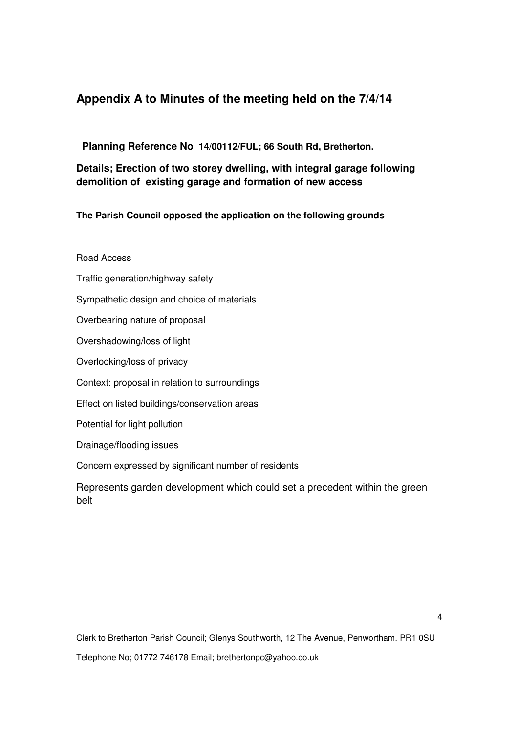# **Appendix A to Minutes of the meeting held on the 7/4/14**

**Planning Reference No 14/00112/FUL; 66 South Rd, Bretherton.** 

**Details; Erection of two storey dwelling, with integral garage following demolition of existing garage and formation of new access** 

**The Parish Council opposed the application on the following grounds**

## Road Access

Traffic generation/highway safety

Sympathetic design and choice of materials

Overbearing nature of proposal

Overshadowing/loss of light

Overlooking/loss of privacy

Context: proposal in relation to surroundings

Effect on listed buildings/conservation areas

Potential for light pollution

Drainage/flooding issues

Concern expressed by significant number of residents

Represents garden development which could set a precedent within the green belt

Clerk to Bretherton Parish Council; Glenys Southworth, 12 The Avenue, Penwortham. PR1 0SU Telephone No; 01772 746178 Email; brethertonpc@yahoo.co.uk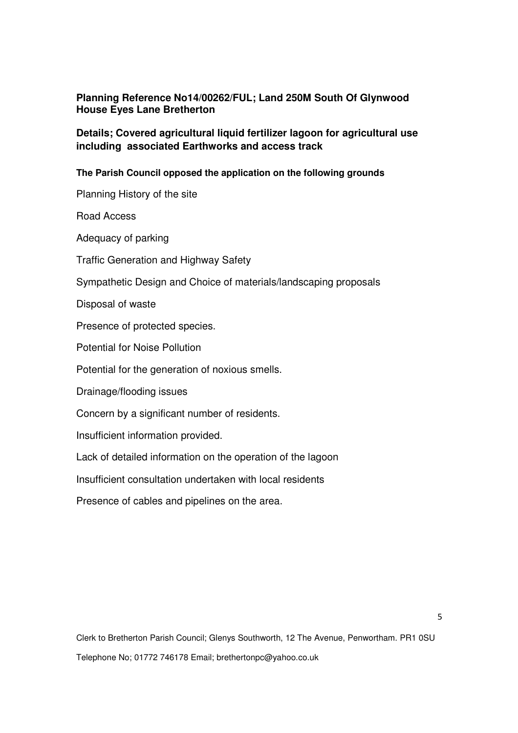**Planning Reference No14/00262/FUL; Land 250M South Of Glynwood House Eyes Lane Bretherton** 

**Details; Covered agricultural liquid fertilizer lagoon for agricultural use including associated Earthworks and access track** 

## **The Parish Council opposed the application on the following grounds**

Planning History of the site

Road Access

Adequacy of parking

Traffic Generation and Highway Safety

Sympathetic Design and Choice of materials/landscaping proposals

Disposal of waste

Presence of protected species.

Potential for Noise Pollution

Potential for the generation of noxious smells.

Drainage/flooding issues

Concern by a significant number of residents.

Insufficient information provided.

Lack of detailed information on the operation of the lagoon

Insufficient consultation undertaken with local residents

Presence of cables and pipelines on the area.